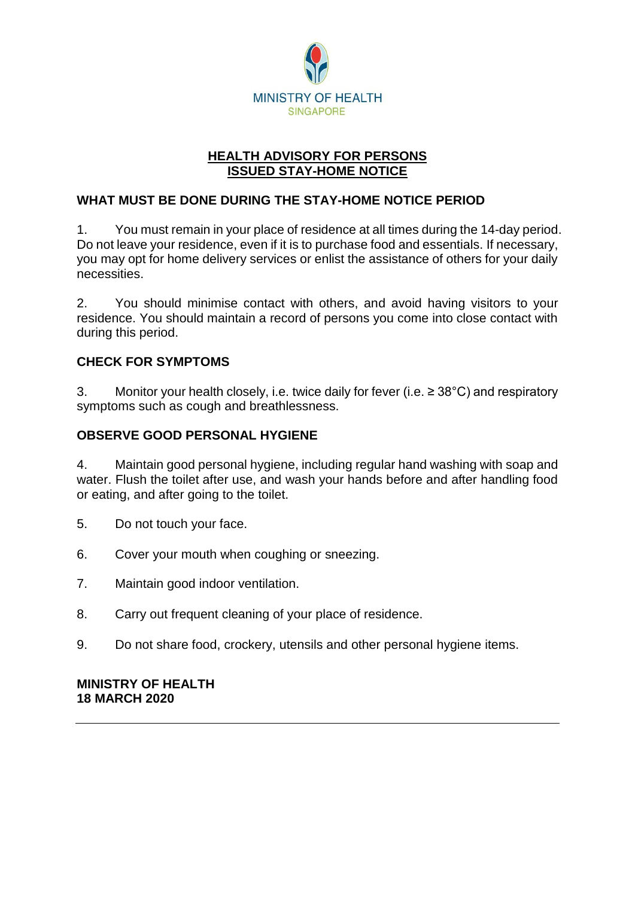

## **HEALTH ADVISORY FOR PERSONS ISSUED STAY-HOME NOTICE**

## **WHAT MUST BE DONE DURING THE STAY-HOME NOTICE PERIOD**

1. You must remain in your place of residence at all times during the 14-day period. Do not leave your residence, even if it is to purchase food and essentials. If necessary, you may opt for home delivery services or enlist the assistance of others for your daily necessities.

2. You should minimise contact with others, and avoid having visitors to your residence. You should maintain a record of persons you come into close contact with during this period.

### **CHECK FOR SYMPTOMS**

3. Monitor your health closely, i.e. twice daily for fever (i.e.  $\geq$  38°C) and respiratory symptoms such as cough and breathlessness.

#### **OBSERVE GOOD PERSONAL HYGIENE**

4. Maintain good personal hygiene, including regular hand washing with soap and water. Flush the toilet after use, and wash your hands before and after handling food or eating, and after going to the toilet.

- 5. Do not touch your face.
- 6. Cover your mouth when coughing or sneezing.
- 7. Maintain good indoor ventilation.
- 8. Carry out frequent cleaning of your place of residence.
- 9. Do not share food, crockery, utensils and other personal hygiene items.

#### **MINISTRY OF HEALTH 18 MARCH 2020**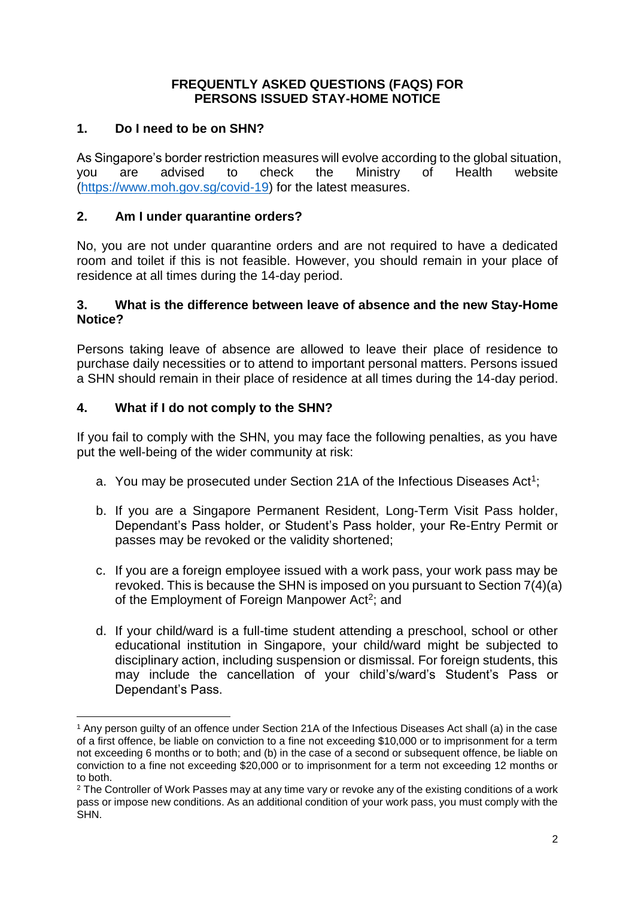## **FREQUENTLY ASKED QUESTIONS (FAQS) FOR PERSONS ISSUED STAY-HOME NOTICE**

## **1. Do I need to be on SHN?**

As Singapore's border restriction measures will evolve according to the global situation, you are advised to check the Ministry of Health website [\(https://www.moh.gov.sg/covid-19\)](https://www.moh.gov.sg/covid-19) for the latest measures.

## **2. Am I under quarantine orders?**

No, you are not under quarantine orders and are not required to have a dedicated room and toilet if this is not feasible. However, you should remain in your place of residence at all times during the 14-day period.

### **3. What is the difference between leave of absence and the new Stay-Home Notice?**

Persons taking leave of absence are allowed to leave their place of residence to purchase daily necessities or to attend to important personal matters. Persons issued a SHN should remain in their place of residence at all times during the 14-day period.

### **4. What if I do not comply to the SHN?**

1

If you fail to comply with the SHN, you may face the following penalties, as you have put the well-being of the wider community at risk:

- a. You may be prosecuted under Section 21A of the Infectious Diseases Act<sup>1</sup>;
- b. If you are a Singapore Permanent Resident, Long-Term Visit Pass holder, Dependant's Pass holder, or Student's Pass holder, your Re-Entry Permit or passes may be revoked or the validity shortened;
- c. If you are a foreign employee issued with a work pass, your work pass may be revoked. This is because the SHN is imposed on you pursuant to Section 7(4)(a) of the Employment of Foreign Manpower Act<sup>2</sup>; and
- d. If your child/ward is a full-time student attending a preschool, school or other educational institution in Singapore, your child/ward might be subjected to disciplinary action, including suspension or dismissal. For foreign students, this may include the cancellation of your child's/ward's Student's Pass or Dependant's Pass.

<sup>1</sup> Any person guilty of an offence under Section 21A of the Infectious Diseases Act shall (a) in the case of a first offence, be liable on conviction to a fine not exceeding \$10,000 or to imprisonment for a term not exceeding 6 months or to both; and (b) in the case of a second or subsequent offence, be liable on conviction to a fine not exceeding \$20,000 or to imprisonment for a term not exceeding 12 months or to both.

<sup>2</sup> The Controller of Work Passes may at any time vary or revoke any of the existing conditions of a work pass or impose new conditions. As an additional condition of your work pass, you must comply with the SHN.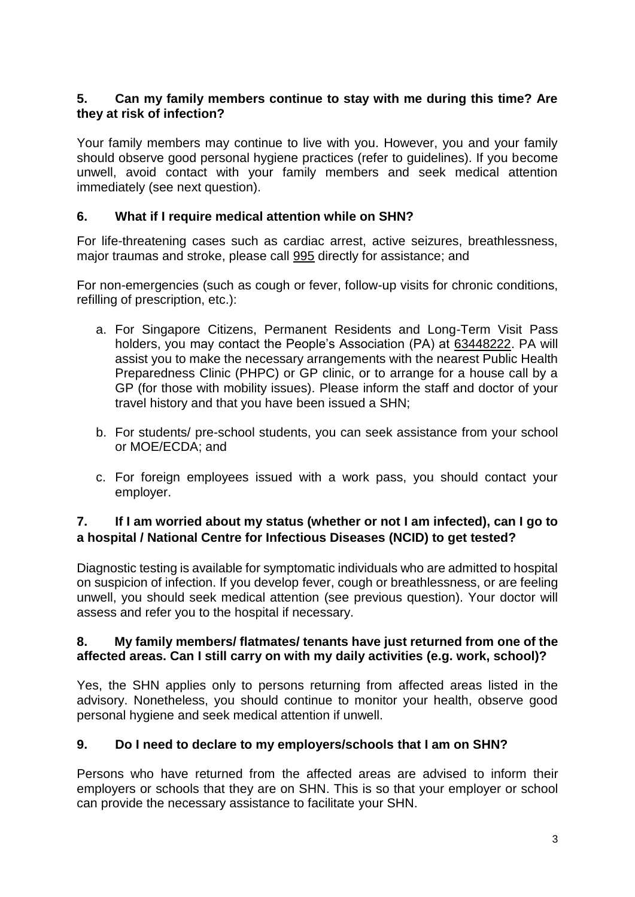### **5. Can my family members continue to stay with me during this time? Are they at risk of infection?**

Your family members may continue to live with you. However, you and your family should observe good personal hygiene practices (refer to guidelines). If you become unwell, avoid contact with your family members and seek medical attention immediately (see next question).

## **6. What if I require medical attention while on SHN?**

For life-threatening cases such as cardiac arrest, active seizures, breathlessness, major traumas and stroke, please call 995 directly for assistance; and

For non-emergencies (such as cough or fever, follow-up visits for chronic conditions, refilling of prescription, etc.):

- a. For Singapore Citizens, Permanent Residents and Long-Term Visit Pass holders, you may contact the People's Association (PA) at 63448222. PA will assist you to make the necessary arrangements with the nearest Public Health Preparedness Clinic (PHPC) or GP clinic, or to arrange for a house call by a GP (for those with mobility issues). Please inform the staff and doctor of your travel history and that you have been issued a SHN;
- b. For students/ pre-school students, you can seek assistance from your school or MOE/ECDA; and
- c. For foreign employees issued with a work pass, you should contact your employer.

## **7. If I am worried about my status (whether or not I am infected), can I go to a hospital / National Centre for Infectious Diseases (NCID) to get tested?**

Diagnostic testing is available for symptomatic individuals who are admitted to hospital on suspicion of infection. If you develop fever, cough or breathlessness, or are feeling unwell, you should seek medical attention (see previous question). Your doctor will assess and refer you to the hospital if necessary.

### **8. My family members/ flatmates/ tenants have just returned from one of the affected areas. Can I still carry on with my daily activities (e.g. work, school)?**

Yes, the SHN applies only to persons returning from affected areas listed in the advisory. Nonetheless, you should continue to monitor your health, observe good personal hygiene and seek medical attention if unwell.

# **9. Do I need to declare to my employers/schools that I am on SHN?**

Persons who have returned from the affected areas are advised to inform their employers or schools that they are on SHN. This is so that your employer or school can provide the necessary assistance to facilitate your SHN.